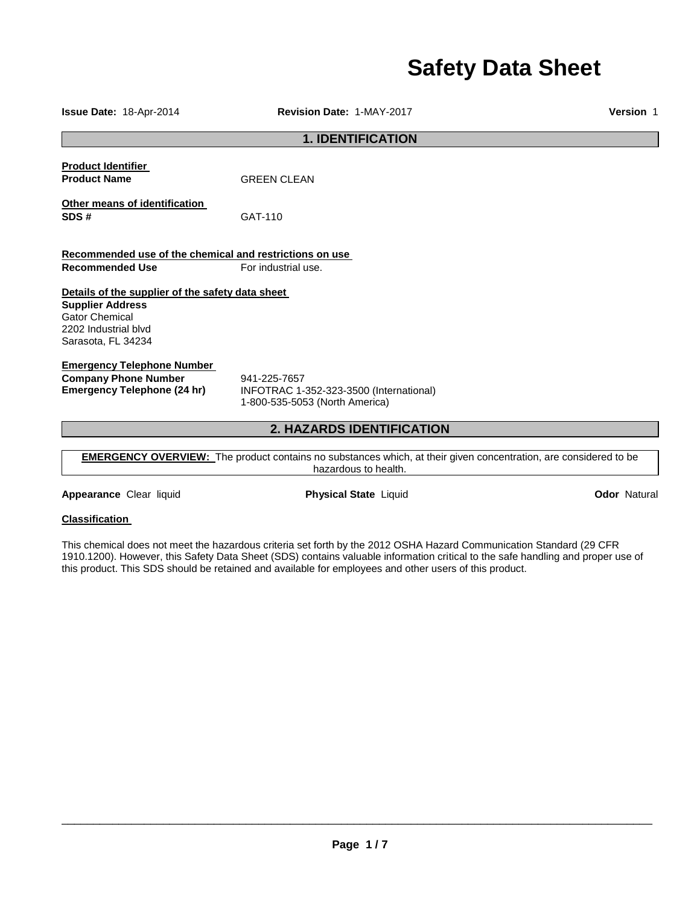# **Safety Data Sheet**

**1. IDENTIFICATION Product Identifier Product Name** GREEN CLEAN **Other means of identification SDS #** GAT-110 **Recommended use of the chemical and restrictions on use Recommended Use For industrial use. Details of the supplier of the safety data sheet Supplier Address** Gator Chemical 2202 Industrial blvd Sarasota, FL 34234 **Emergency Telephone Number Company Phone Number** 941-225-7657<br>**Emergency Telephone (24 hr)** INFOTRAC 1-**Emergency Telephone (24 hr)** INFOTRAC 1-352-323-3500 (International) 1-800-535-5053 (North America)

## **2. HAZARDS IDENTIFICATION**

**EMERGENCY OVERVIEW:** The product contains no substances which, at their given concentration, are considered to be hazardous to health.

**Appearance** Clear liquid **Physical State** Liquid **Odor** Natural

#### **Classification**

This chemical does not meet the hazardous criteria set forth by the 2012 OSHA Hazard Communication Standard (29 CFR 1910.1200). However, this Safety Data Sheet (SDS) contains valuable information critical to the safe handling and proper use of this product. This SDS should be retained and available for employees and other users of this product.

\_\_\_\_\_\_\_\_\_\_\_\_\_\_\_\_\_\_\_\_\_\_\_\_\_\_\_\_\_\_\_\_\_\_\_\_\_\_\_\_\_\_\_\_\_\_\_\_\_\_\_\_\_\_\_\_\_\_\_\_\_\_\_\_\_\_\_\_\_\_\_\_\_\_\_\_\_\_\_\_\_\_\_\_\_\_\_\_\_\_\_\_\_

**Issue Date:** 18-Apr-2014 **Revision Date:** 1-MAY-2017 **Version** 1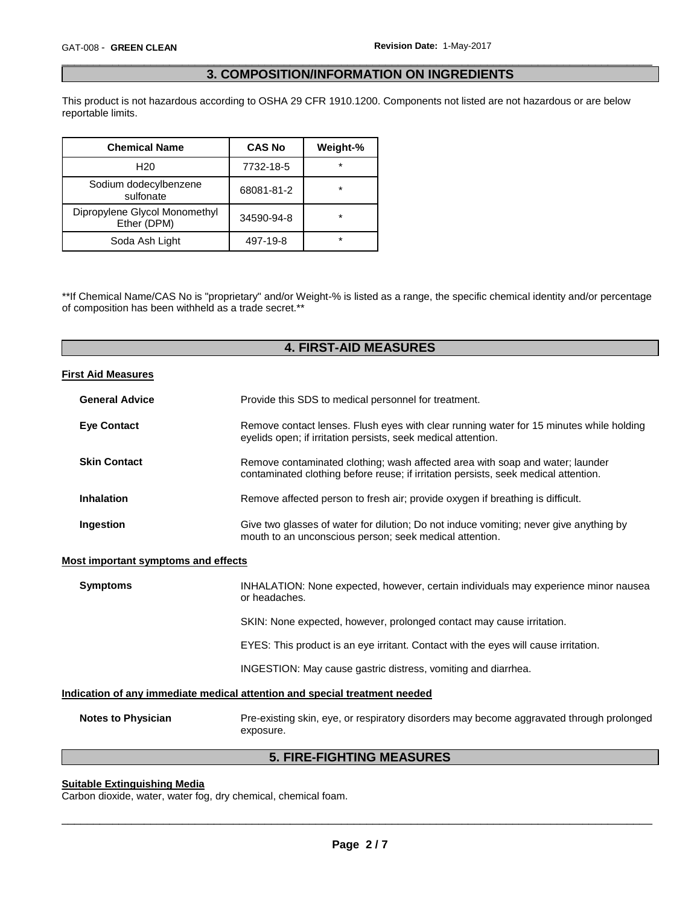#### \_\_\_\_\_\_\_\_\_\_\_\_\_\_\_\_\_\_\_\_\_\_\_\_\_\_\_\_\_\_\_\_\_\_\_\_\_\_\_\_\_\_\_\_\_\_\_\_\_\_\_\_\_\_\_\_\_\_\_\_\_\_\_\_\_\_\_\_\_\_\_\_\_\_\_\_\_\_\_\_\_\_\_\_\_\_\_\_\_\_\_\_\_ **3. COMPOSITION/INFORMATION ON INGREDIENTS**

This product is not hazardous according to OSHA 29 CFR 1910.1200. Components not listed are not hazardous or are below reportable limits.

| <b>Chemical Name</b>                         | <b>CAS No</b> | Weight-% |
|----------------------------------------------|---------------|----------|
| H <sub>20</sub>                              | 7732-18-5     | $\star$  |
| Sodium dodecylbenzene<br>sulfonate           | 68081-81-2    | $\star$  |
| Dipropylene Glycol Monomethyl<br>Ether (DPM) | 34590-94-8    | $\star$  |
| Soda Ash Light                               | 497-19-8      | $\star$  |

\*\*If Chemical Name/CAS No is "proprietary" and/or Weight-% is listed as a range, the specific chemical identity and/or percentage of composition has been withheld as a trade secret.\*\*

## **4. FIRST-AID MEASURES**

#### **First Aid Measures**

| <b>General Advice</b> | Provide this SDS to medical personnel for treatment.                                                                                                                 |  |  |
|-----------------------|----------------------------------------------------------------------------------------------------------------------------------------------------------------------|--|--|
| <b>Eye Contact</b>    | Remove contact lenses. Flush eyes with clear running water for 15 minutes while holding<br>eyelids open; if irritation persists, seek medical attention.             |  |  |
| <b>Skin Contact</b>   | Remove contaminated clothing; wash affected area with soap and water; launder<br>contaminated clothing before reuse; if irritation persists, seek medical attention. |  |  |
| <b>Inhalation</b>     | Remove affected person to fresh air; provide oxygen if breathing is difficult.                                                                                       |  |  |
| Ingestion             | Give two glasses of water for dilution; Do not induce vomiting; never give anything by<br>mouth to an unconscious person; seek medical attention.                    |  |  |

#### **Most important symptoms and effects**

| <b>Symptoms</b>                                                            | INHALATION: None expected, however, certain individuals may experience minor nausea<br>or headaches. |  |
|----------------------------------------------------------------------------|------------------------------------------------------------------------------------------------------|--|
|                                                                            | SKIN: None expected, however, prolonged contact may cause irritation.                                |  |
|                                                                            | EYES: This product is an eye irritant. Contact with the eyes will cause irritation.                  |  |
|                                                                            | INGESTION: May cause gastric distress, vomiting and diarrhea.                                        |  |
| Indication of any immediate medical attention and special treatment needed |                                                                                                      |  |

| <b>Notes to Physician</b> | Pre-existing skin, eye, or respiratory disorders may become aggravated through prolonged |
|---------------------------|------------------------------------------------------------------------------------------|
|                           | exposure.                                                                                |

# **5. FIRE-FIGHTING MEASURES**

### **Suitable Extinguishing Media**

Carbon dioxide, water, water fog, dry chemical, chemical foam.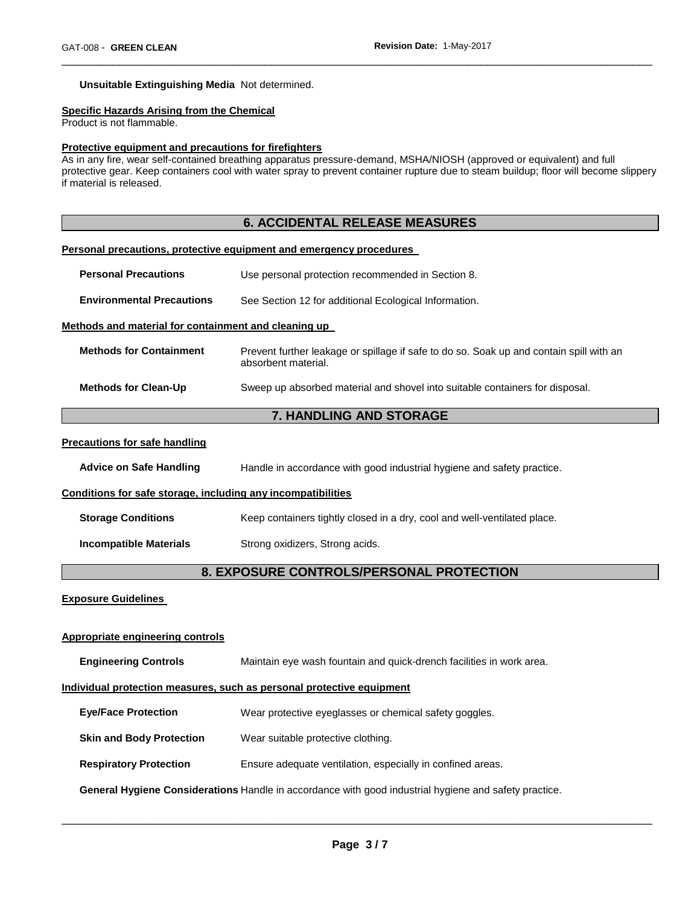#### **Unsuitable Extinguishing Media** Not determined.

#### **Specific Hazards Arising from the Chemical**

Product is not flammable.

#### **Protective equipment and precautions for firefighters**

As in any fire, wear self-contained breathing apparatus pressure-demand, MSHA/NIOSH (approved or equivalent) and full protective gear. Keep containers cool with water spray to prevent container rupture due to steam buildup; floor will become slippery if material is released.

\_\_\_\_\_\_\_\_\_\_\_\_\_\_\_\_\_\_\_\_\_\_\_\_\_\_\_\_\_\_\_\_\_\_\_\_\_\_\_\_\_\_\_\_\_\_\_\_\_\_\_\_\_\_\_\_\_\_\_\_\_\_\_\_\_\_\_\_\_\_\_\_\_\_\_\_\_\_\_\_\_\_\_\_\_\_\_\_\_\_\_\_\_

# **6. ACCIDENTAL RELEASE MEASURES Personal precautions, protective equipment and emergency procedures**

**Environmental Precautions** See Section 12 for additional Ecological Information.

**Personal Precautions** Use personal protection recommended in Section 8.

#### **Methods and material for containment and cleaning up**

| <b>Methods for Containment</b> | Prevent further leakage or spillage if safe to do so. Soak up and contain spill with an<br>absorbent material. |
|--------------------------------|----------------------------------------------------------------------------------------------------------------|
| <b>Methods for Clean-Up</b>    | Sweep up absorbed material and shovel into suitable containers for disposal.                                   |

#### **7. HANDLING AND STORAGE**

#### **Precautions for safe handling**

**Advice on Safe Handling** Handle in accordance with good industrial hygiene and safety practice.

#### **Conditions for safe storage, including any incompatibilities**

**Storage Conditions Keep containers tightly closed in a dry, cool and well-ventilated place.** 

**Incompatible Materials Strong oxidizers, Strong acids.** 

### **8. EXPOSURE CONTROLS/PERSONAL PROTECTION**

#### **Exposure Guidelines**

#### **Appropriate engineering controls**

**Engineering Controls** Maintain eye wash fountain and quick-drench facilities in work area. **Individual protection measures, such as personal protective equipment Eye/Face Protection** Wear protective eyeglasses or chemical safety goggles. **Skin and Body Protection** Wear suitable protective clothing. **Respiratory Protection** Ensure adequate ventilation, especially in confined areas.

**General Hygiene Considerations** Handle in accordance with good industrial hygiene and safety practice.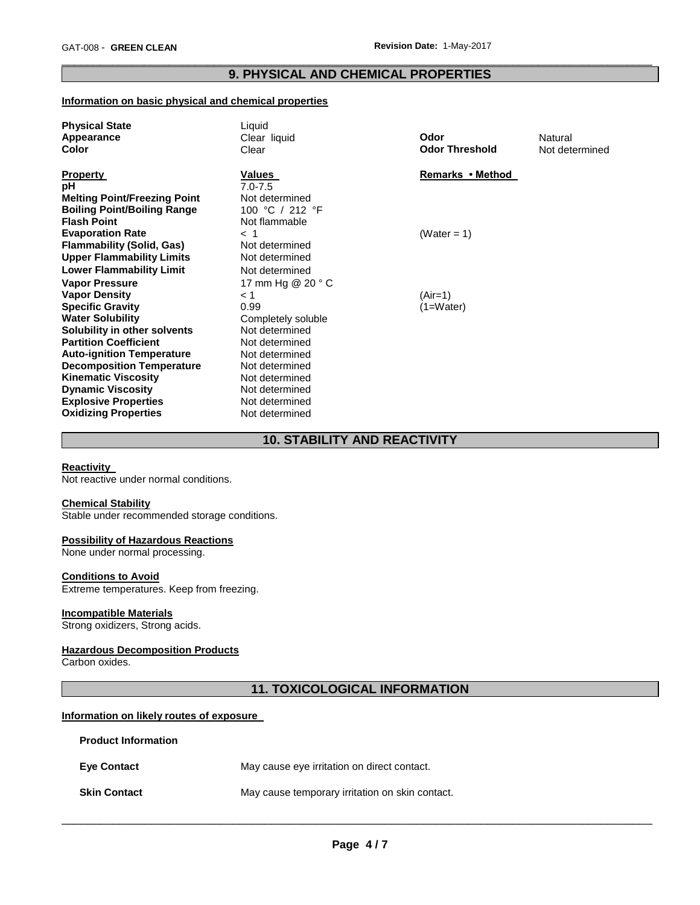#### \_\_\_\_\_\_\_\_\_\_\_\_\_\_\_\_\_\_\_\_\_\_\_\_\_\_\_\_\_\_\_\_\_\_\_\_\_\_\_\_\_\_\_\_\_\_\_\_\_\_\_\_\_\_\_\_\_\_\_\_\_\_\_\_\_\_\_\_\_\_\_\_\_\_\_\_\_\_\_\_\_\_\_\_\_\_\_\_\_\_\_\_\_ **9. PHYSICAL AND CHEMICAL PROPERTIES**

#### **Information on basic physical and chemical properties**

| <b>Physical State</b>               | Liquid                       |                       |                |
|-------------------------------------|------------------------------|-----------------------|----------------|
| Appearance                          | Clear liquid                 | Odor                  | Natural        |
| Color                               | Clear                        | <b>Odor Threshold</b> | Not determined |
| <b>Property</b>                     | <b>Values</b>                | Remarks • Method      |                |
| рH                                  | $7.0 - 7.5$                  |                       |                |
| <b>Melting Point/Freezing Point</b> | Not determined               |                       |                |
| <b>Boiling Point/Boiling Range</b>  | 100 °C / 212 °F              |                       |                |
| <b>Flash Point</b>                  | Not flammable                |                       |                |
| <b>Evaporation Rate</b>             | < 1                          | (Water = 1)           |                |
| <b>Flammability (Solid, Gas)</b>    | Not determined               |                       |                |
| <b>Upper Flammability Limits</b>    | Not determined               |                       |                |
| <b>Lower Flammability Limit</b>     | Not determined               |                       |                |
| <b>Vapor Pressure</b>               | 17 mm Hg $@$ 20 $^{\circ}$ C |                       |                |
| <b>Vapor Density</b>                | < 1                          | $(Air=1)$             |                |
| <b>Specific Gravity</b>             | 0.99                         | $(1=Water)$           |                |
| <b>Water Solubility</b>             | Completely soluble           |                       |                |
| Solubility in other solvents        | Not determined               |                       |                |
| <b>Partition Coefficient</b>        | Not determined               |                       |                |
| <b>Auto-ignition Temperature</b>    | Not determined               |                       |                |
| <b>Decomposition Temperature</b>    | Not determined               |                       |                |
| <b>Kinematic Viscosity</b>          | Not determined               |                       |                |
| <b>Dynamic Viscosity</b>            | Not determined               |                       |                |
| <b>Explosive Properties</b>         | Not determined               |                       |                |
| <b>Oxidizing Properties</b>         | Not determined               |                       |                |

# **10. STABILITY AND REACTIVITY**

#### **Reactivity**

Not reactive under normal conditions.

#### **Chemical Stability**

Stable under recommended storage conditions.

#### **Possibility of Hazardous Reactions**

None under normal processing.

#### **Conditions to Avoid**

Extreme temperatures. Keep from freezing.

#### **Incompatible Materials**

Strong oxidizers, Strong acids.

#### **Hazardous Decomposition Products**

Carbon oxides.

# **11. TOXICOLOGICAL INFORMATION**

#### **Information on likely routes of exposure**

| <b>Product Information</b> |                                                 |
|----------------------------|-------------------------------------------------|
| <b>Eve Contact</b>         | May cause eye irritation on direct contact.     |
| <b>Skin Contact</b>        | May cause temporary irritation on skin contact. |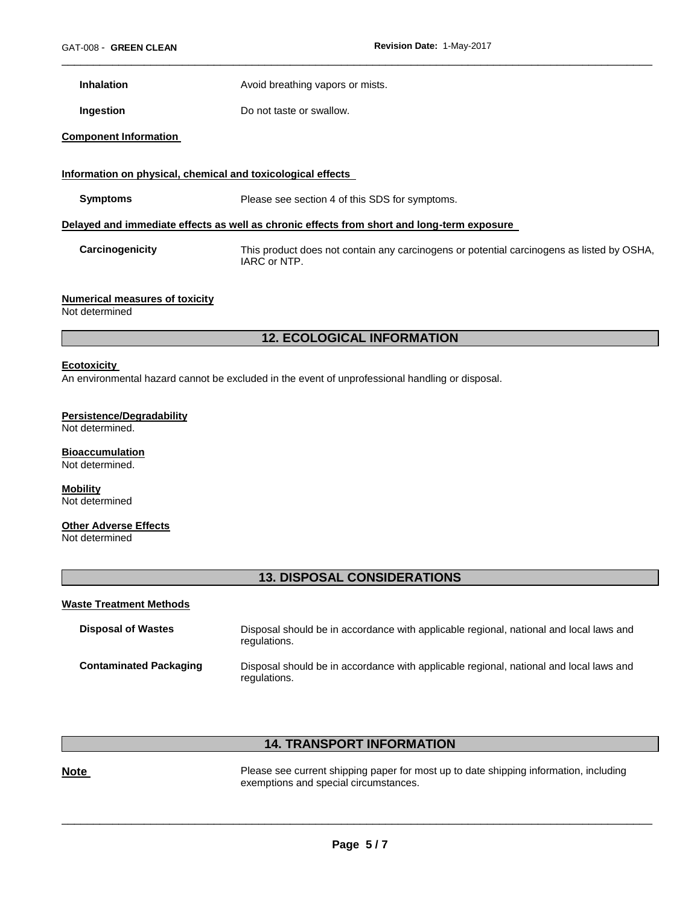**Inhalation Avoid breathing vapors or mists.** 

**Ingestion Do not taste or swallow.** 

#### **Component Information**

#### **Information on physical, chemical and toxicological effects**

**Symptoms** Please see section 4 of this SDS for symptoms.

#### **Delayed and immediate effects as well as chronic effects from short and long-term exposure**

**Carcinogenicity** This product does not contain any carcinogens or potential carcinogens as listed by OSHA, IARC or NTP.

\_\_\_\_\_\_\_\_\_\_\_\_\_\_\_\_\_\_\_\_\_\_\_\_\_\_\_\_\_\_\_\_\_\_\_\_\_\_\_\_\_\_\_\_\_\_\_\_\_\_\_\_\_\_\_\_\_\_\_\_\_\_\_\_\_\_\_\_\_\_\_\_\_\_\_\_\_\_\_\_\_\_\_\_\_\_\_\_\_\_\_\_\_

#### **Numerical measures of toxicity**

Not determined

#### **12. ECOLOGICAL INFORMATION**

#### **Ecotoxicity**

An environmental hazard cannot be excluded in the event of unprofessional handling or disposal.

#### **Persistence/Degradability**

Not determined.

#### **Bioaccumulation** Not determined.

**Mobility** Not determined

#### **Other Adverse Effects**

Not determined

#### **13. DISPOSAL CONSIDERATIONS**

#### **Waste Treatment Methods**

| <b>Disposal of Wastes</b>     | Disposal should be in accordance with applicable regional, national and local laws and<br>regulations. |
|-------------------------------|--------------------------------------------------------------------------------------------------------|
| <b>Contaminated Packaging</b> | Disposal should be in accordance with applicable regional, national and local laws and<br>regulations. |

# **14. TRANSPORT INFORMATION**

Please see current shipping paper for most up to date shipping information, including exemptions and special circumstances.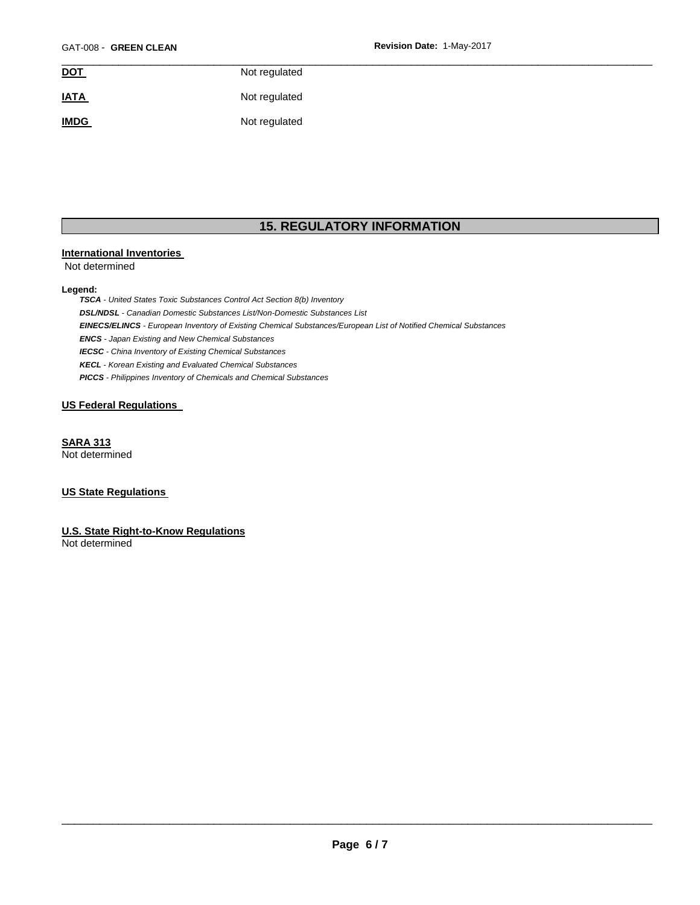| <b>DOT</b>  | Not regulated |  |
|-------------|---------------|--|
| <b>IATA</b> | Not regulated |  |
| <b>IMDG</b> | Not regulated |  |

# **15. REGULATORY INFORMATION**

#### **International Inventories**

Not determined

#### **Legend:**

*TSCA - United States Toxic Substances Control Act Section 8(b) Inventory DSL/NDSL - Canadian Domestic Substances List/Non-Domestic Substances List EINECS/ELINCS - European Inventory of Existing Chemical Substances/European List of Notified Chemical Substances ENCS - Japan Existing and New Chemical Substances IECSC - China Inventory of Existing Chemical Substances KECL - Korean Existing and Evaluated Chemical Substances PICCS - Philippines Inventory of Chemicals and Chemical Substances* 

#### **US Federal Regulations**

**SARA 313** Not determined

#### **US State Regulations**

**U.S. State Right-to-Know Regulations** Not determined